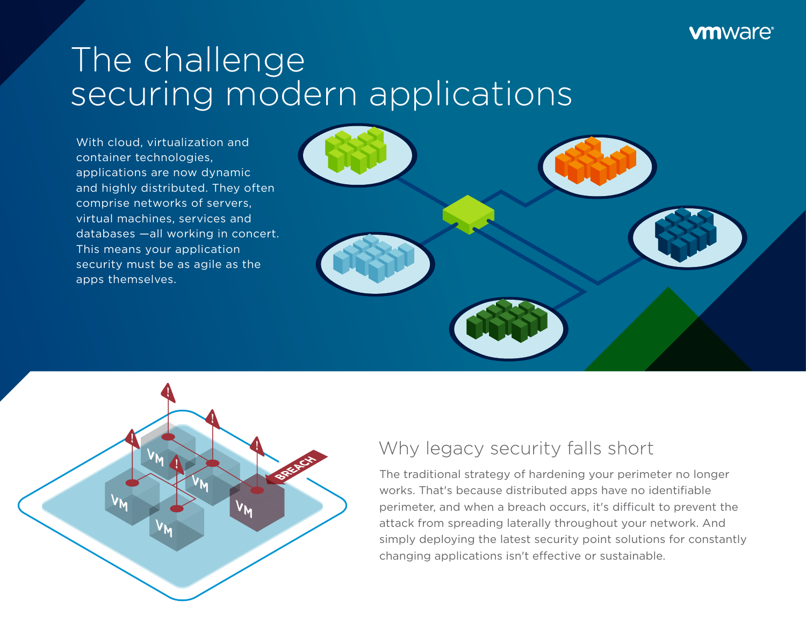#### **vm**ware<sup>®</sup>

# The challenge securing modern applications

With cloud, virtualization and container technologies, applications are now dynamic and highly distributed. They often comprise networks of servers, virtual machines, services and databases —all working in concert. This means your application security must be as agile as the apps themselves.





### Why legacy security falls short

The traditional strategy of hardening your perimeter no longer works. That's because distributed apps have no identifiable perimeter, and when a breach occurs, it's difficult to prevent the attack from spreading laterally throughout your network. And simply deploying the latest security point solutions for constantly changing applications isn't efective or sustainable.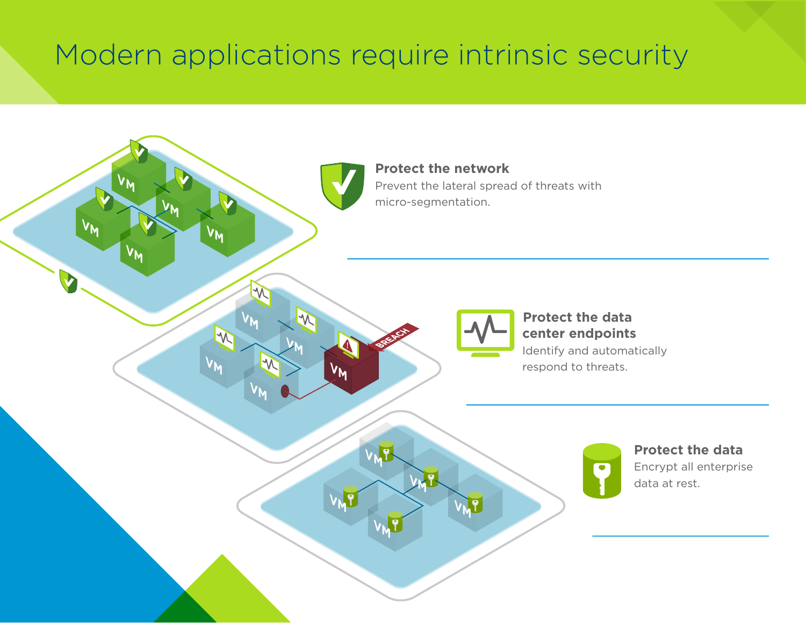### Modern applications require intrinsic security